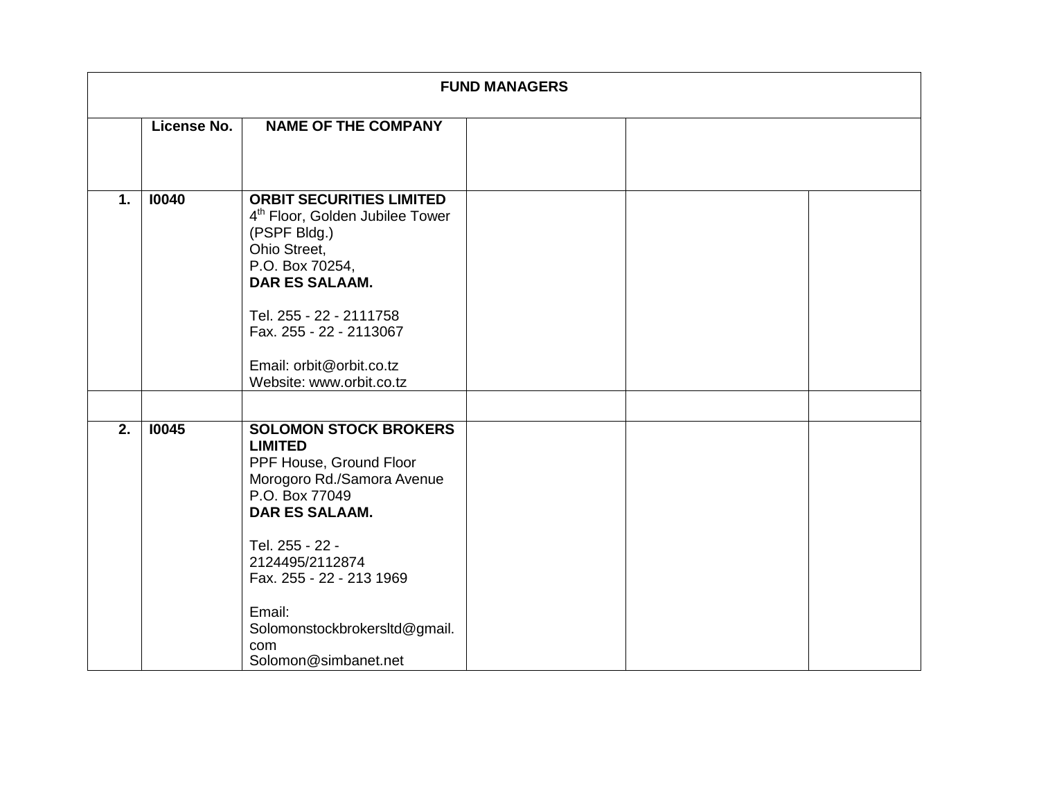| <b>FUND MANAGERS</b> |             |                                                                                                                                                                                                                  |  |  |  |
|----------------------|-------------|------------------------------------------------------------------------------------------------------------------------------------------------------------------------------------------------------------------|--|--|--|
|                      | License No. | <b>NAME OF THE COMPANY</b>                                                                                                                                                                                       |  |  |  |
|                      |             |                                                                                                                                                                                                                  |  |  |  |
| 1.                   | 10040       | <b>ORBIT SECURITIES LIMITED</b><br>4 <sup>th</sup> Floor, Golden Jubilee Tower<br>(PSPF Bldg.)<br>Ohio Street,<br>P.O. Box 70254,<br><b>DAR ES SALAAM.</b><br>Tel. 255 - 22 - 2111758<br>Fax. 255 - 22 - 2113067 |  |  |  |
|                      |             | Email: orbit@orbit.co.tz<br>Website: www.orbit.co.tz                                                                                                                                                             |  |  |  |
|                      |             |                                                                                                                                                                                                                  |  |  |  |
| 2.                   | 10045       | <b>SOLOMON STOCK BROKERS</b><br><b>LIMITED</b><br>PPF House, Ground Floor<br>Morogoro Rd./Samora Avenue<br>P.O. Box 77049<br><b>DAR ES SALAAM.</b>                                                               |  |  |  |
|                      |             | Tel. 255 - 22 -<br>2124495/2112874<br>Fax. 255 - 22 - 213 1969                                                                                                                                                   |  |  |  |
|                      |             | Email:<br>Solomonstockbrokersltd@gmail.<br>com<br>Solomon@simbanet.net                                                                                                                                           |  |  |  |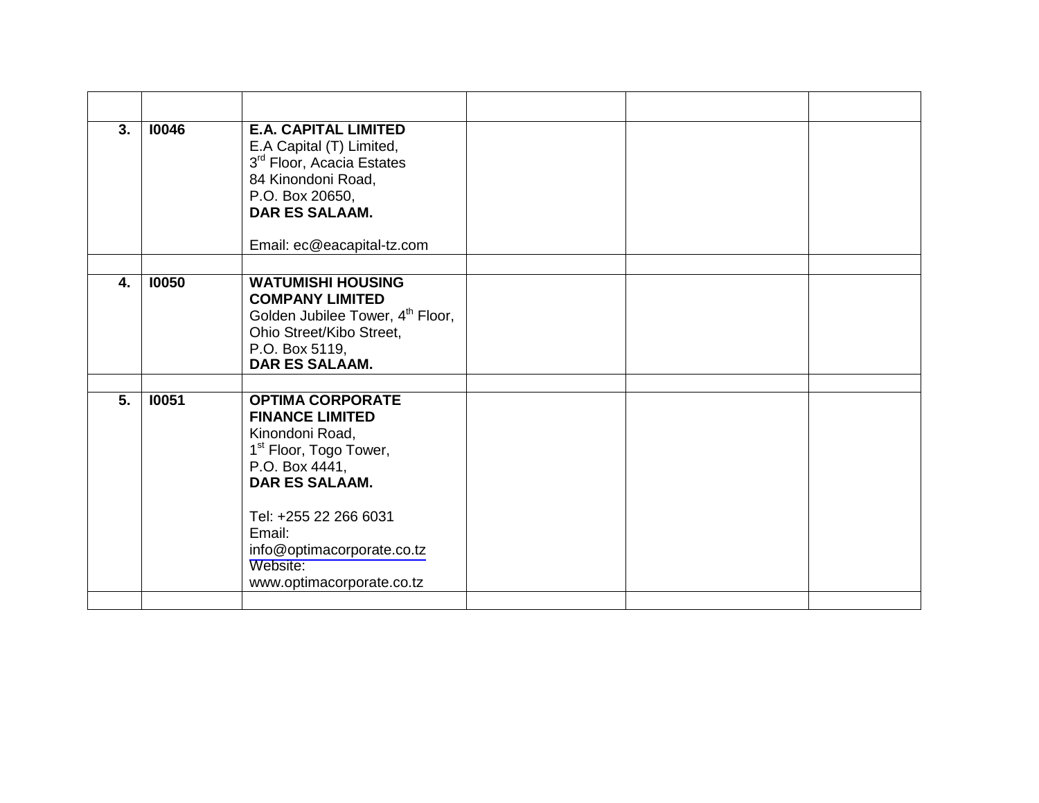| 3. | 10046 | <b>E.A. CAPITAL LIMITED</b><br>E.A Capital (T) Limited,<br>3 <sup>rd</sup> Floor, Acacia Estates<br>84 Kinondoni Road,<br>P.O. Box 20650,<br><b>DAR ES SALAAM.</b><br>Email: ec@eacapital-tz.com                                                                |  |  |
|----|-------|-----------------------------------------------------------------------------------------------------------------------------------------------------------------------------------------------------------------------------------------------------------------|--|--|
| 4. | 10050 | <b>WATUMISHI HOUSING</b><br><b>COMPANY LIMITED</b><br>Golden Jubilee Tower, 4 <sup>th</sup> Floor,<br>Ohio Street/Kibo Street,<br>P.O. Box 5119,<br>DAR ES SALAAM.                                                                                              |  |  |
| 5. | 10051 | <b>OPTIMA CORPORATE</b><br><b>FINANCE LIMITED</b><br>Kinondoni Road,<br>1 <sup>st</sup> Floor, Togo Tower,<br>P.O. Box 4441,<br><b>DAR ES SALAAM.</b><br>Tel: +255 22 266 6031<br>Email:<br>info@optimacorporate.co.tz<br>Website:<br>www.optimacorporate.co.tz |  |  |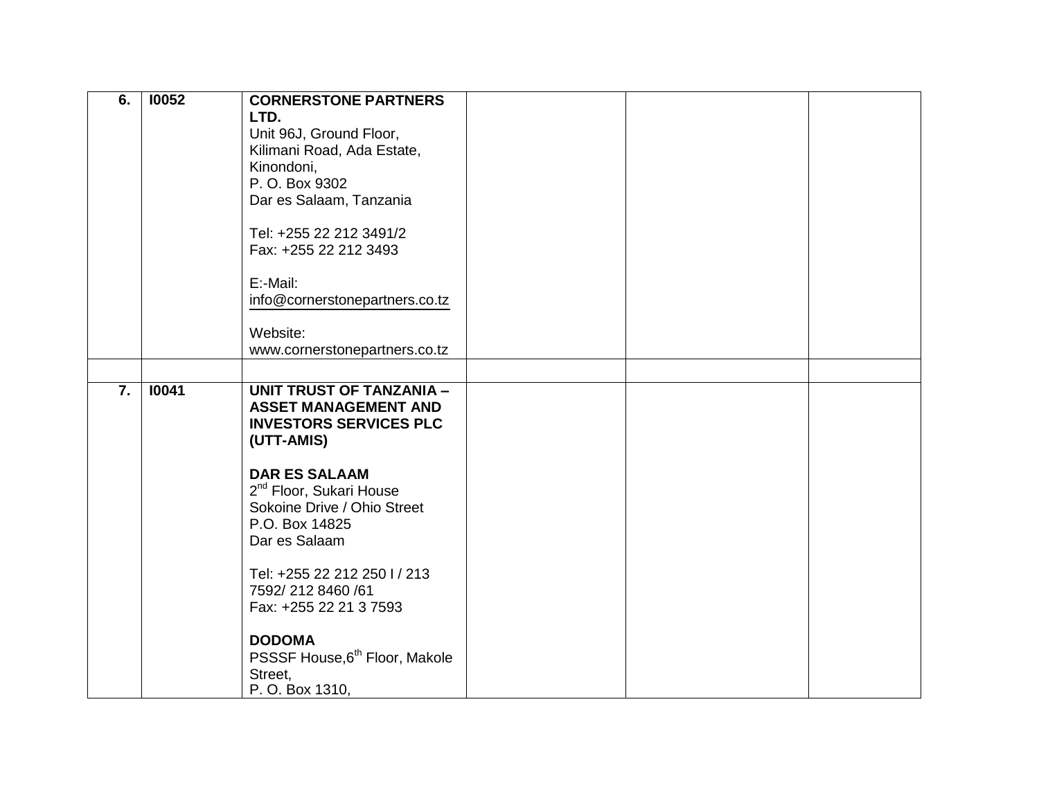| 6.               | 10052 | <b>CORNERSTONE PARTNERS</b><br>LTD.<br>Unit 96J, Ground Floor,<br>Kilimani Road, Ada Estate,<br>Kinondoni,<br>P. O. Box 9302<br>Dar es Salaam, Tanzania<br>Tel: +255 22 212 3491/2<br>Fax: +255 22 212 3493 |  |  |
|------------------|-------|-------------------------------------------------------------------------------------------------------------------------------------------------------------------------------------------------------------|--|--|
|                  |       | E:-Mail:<br>info@cornerstonepartners.co.tz                                                                                                                                                                  |  |  |
|                  |       | Website:<br>www.cornerstonepartners.co.tz                                                                                                                                                                   |  |  |
|                  |       |                                                                                                                                                                                                             |  |  |
| $\overline{7}$ . | 10041 | <b>UNIT TRUST OF TANZANIA -</b><br><b>ASSET MANAGEMENT AND</b><br><b>INVESTORS SERVICES PLC</b><br>(UTT-AMIS)                                                                                               |  |  |
|                  |       | <b>DAR ES SALAAM</b><br>2 <sup>nd</sup> Floor, Sukari House<br>Sokoine Drive / Ohio Street<br>P.O. Box 14825<br>Dar es Salaam                                                                               |  |  |
|                  |       | Tel: +255 22 212 250 l / 213<br>7592/2128460/61<br>Fax: +255 22 21 3 7593                                                                                                                                   |  |  |
|                  |       | <b>DODOMA</b><br>PSSSF House, 6 <sup>th</sup> Floor, Makole<br>Street,<br>P. O. Box 1310,                                                                                                                   |  |  |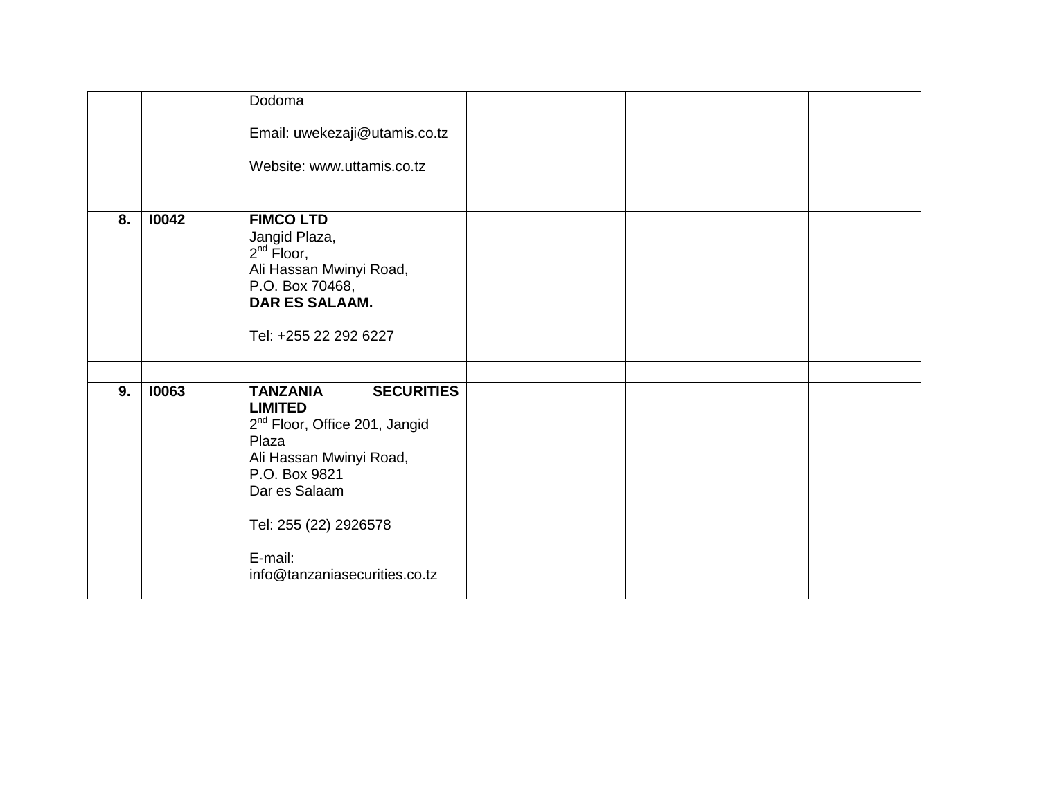|    |       | Dodoma                                                                                                                                                                                                                                         |  |  |
|----|-------|------------------------------------------------------------------------------------------------------------------------------------------------------------------------------------------------------------------------------------------------|--|--|
|    |       | Email: uwekezaji@utamis.co.tz                                                                                                                                                                                                                  |  |  |
|    |       | Website: www.uttamis.co.tz                                                                                                                                                                                                                     |  |  |
|    |       |                                                                                                                                                                                                                                                |  |  |
| 8. | 10042 | <b>FIMCO LTD</b><br>Jangid Plaza,<br>$2^{nd}$ Floor,<br>Ali Hassan Mwinyi Road,<br>P.O. Box 70468,<br>DAR ES SALAAM.<br>Tel: +255 22 292 6227                                                                                                  |  |  |
|    |       |                                                                                                                                                                                                                                                |  |  |
| 9. | 10063 | <b>SECURITIES</b><br><b>TANZANIA</b><br><b>LIMITED</b><br>2 <sup>nd</sup> Floor, Office 201, Jangid<br>Plaza<br>Ali Hassan Mwinyi Road,<br>P.O. Box 9821<br>Dar es Salaam<br>Tel: 255 (22) 2926578<br>E-mail:<br>info@tanzaniasecurities.co.tz |  |  |